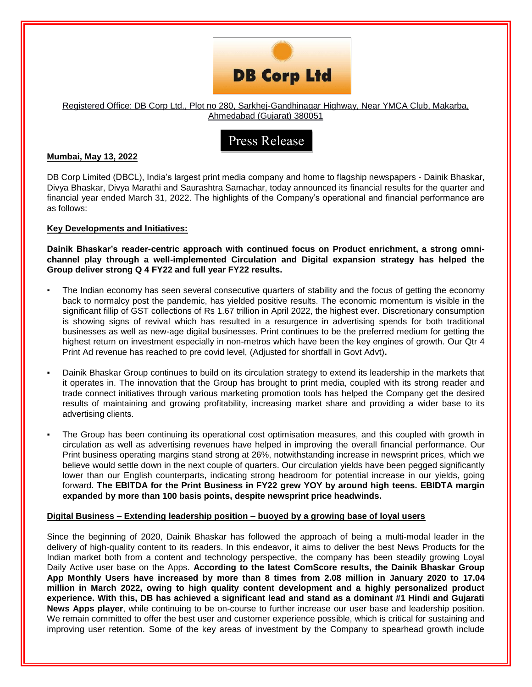

### Registered Office: DB Corp Ltd., Plot no 280, Sarkhej-Gandhinagar Highway, Near YMCA Club, Makarba, Ahmedabad (Gujarat) 380051

# Press Release

# **Mumbai, May 13, 2022**

DB Corp Limited (DBCL), India's largest print media company and home to flagship newspapers - Dainik Bhaskar, Divya Bhaskar, Divya Marathi and Saurashtra Samachar, today announced its financial results for the quarter and financial year ended March 31, 2022. The highlights of the Company's operational and financial performance are as follows:

# **Key Developments and Initiatives:**

**Dainik Bhaskar's reader-centric approach with continued focus on Product enrichment, a strong omnichannel play through a well-implemented Circulation and Digital expansion strategy has helped the Group deliver strong Q 4 FY22 and full year FY22 results.**

- The Indian economy has seen several consecutive quarters of stability and the focus of getting the economy back to normalcy post the pandemic, has yielded positive results. The economic momentum is visible in the significant fillip of GST collections of Rs 1.67 trillion in April 2022, the highest ever. Discretionary consumption is showing signs of revival which has resulted in a resurgence in advertising spends for both traditional businesses as well as new-age digital businesses. Print continues to be the preferred medium for getting the highest return on investment especially in non-metros which have been the key engines of growth. Our Qtr 4 Print Ad revenue has reached to pre covid level, (Adjusted for shortfall in Govt Advt)**.**
- Dainik Bhaskar Group continues to build on its circulation strategy to extend its leadership in the markets that it operates in. The innovation that the Group has brought to print media, coupled with its strong reader and trade connect initiatives through various marketing promotion tools has helped the Company get the desired results of maintaining and growing profitability, increasing market share and providing a wider base to its advertising clients.
- The Group has been continuing its operational cost optimisation measures, and this coupled with growth in circulation as well as advertising revenues have helped in improving the overall financial performance. Our Print business operating margins stand strong at 26%, notwithstanding increase in newsprint prices, which we believe would settle down in the next couple of quarters. Our circulation yields have been pegged significantly lower than our English counterparts, indicating strong headroom for potential increase in our yields, going forward. **The EBITDA for the Print Business in FY22 grew YOY by around high teens. EBIDTA margin expanded by more than 100 basis points, despite newsprint price headwinds.**

### **Digital Business – Extending leadership position – buoyed by a growing base of loyal users**

Since the beginning of 2020, Dainik Bhaskar has followed the approach of being a multi-modal leader in the delivery of high-quality content to its readers. In this endeavor, it aims to deliver the best News Products for the Indian market both from a content and technology perspective, the company has been steadily growing Loyal Daily Active user base on the Apps. **According to the latest ComScore results, the Dainik Bhaskar Group App Monthly Users have increased by more than 8 times from 2.08 million in January 2020 to 17.04 million in March 2022, owing to high quality content development and a highly personalized product experience. With this, DB has achieved a significant lead and stand as a dominant #1 Hindi and Gujarati News Apps player**, while continuing to be on-course to further increase our user base and leadership position. We remain committed to offer the best user and customer experience possible, which is critical for sustaining and improving user retention. Some of the key areas of investment by the Company to spearhead growth include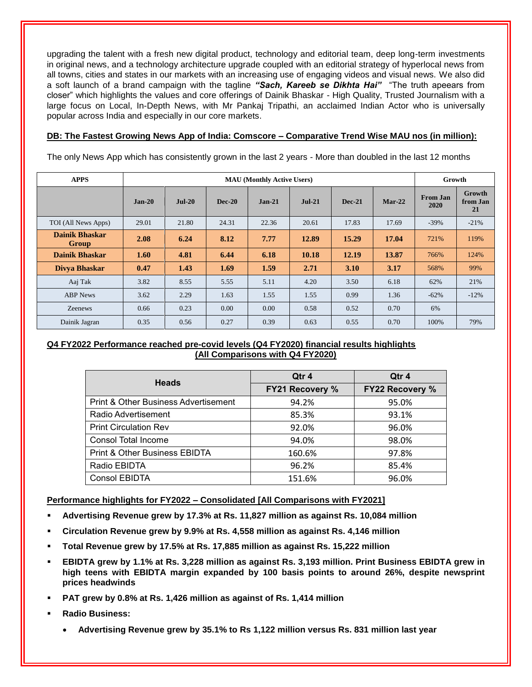upgrading the talent with a fresh new digital product, technology and editorial team, deep long-term investments in original news, and a technology architecture upgrade coupled with an editorial strategy of hyperlocal news from all towns, cities and states in our markets with an increasing use of engaging videos and visual news. We also did a soft launch of a brand campaign with the tagline *"Sach, Kareeb se Dikhta Hai"* "The truth apeears from closer" which highlights the values and core offerings of Dainik Bhaskar - High Quality, Trusted Journalism with a large focus on Local, In-Depth News, with Mr Pankaj Tripathi, an acclaimed Indian Actor who is universally popular across India and especially in our core markets.

# **DB: The Fastest Growing News App of India: Comscore – Comparative Trend Wise MAU nos (in million):**

The only News App which has consistently grown in the last 2 years - More than doubled in the last 12 months

| <b>APPS</b>                           | <b>MAU</b> (Monthly Active Users) |          |               |          |          |               |          | Growth                  |                          |
|---------------------------------------|-----------------------------------|----------|---------------|----------|----------|---------------|----------|-------------------------|--------------------------|
|                                       | $Jan-20$                          | $Jul-20$ | <b>Dec-20</b> | $Jan-21$ | $Jul-21$ | <b>Dec-21</b> | $Mar-22$ | <b>From Jan</b><br>2020 | Growth<br>from Jan<br>21 |
| TOI (All News Apps)                   | 29.01                             | 21.80    | 24.31         | 22.36    | 20.61    | 17.83         | 17.69    | $-39\%$                 | $-21%$                   |
| <b>Dainik Bhaskar</b><br><b>Group</b> | 2.08                              | 6.24     | 8.12          | 7.77     | 12.89    | 15.29         | 17.04    | 721%                    | 119%                     |
| <b>Dainik Bhaskar</b>                 | 1.60                              | 4.81     | 6.44          | 6.18     | 10.18    | 12.19         | 13.87    | 766%                    | 124%                     |
| Divya Bhaskar                         | 0.47                              | 1.43     | 1.69          | 1.59     | 2.71     | 3.10          | 3.17     | 568%                    | 99%                      |
| Aaj Tak                               | 3.82                              | 8.55     | 5.55          | 5.11     | 4.20     | 3.50          | 6.18     | 62%                     | 21%                      |
| <b>ABP</b> News                       | 3.62                              | 2.29     | 1.63          | 1.55     | 1.55     | 0.99          | 1.36     | $-62%$                  | $-12%$                   |
| Zeenews                               | 0.66                              | 0.23     | 0.00          | 0.00     | 0.58     | 0.52          | 0.70     | 6%                      |                          |
| Dainik Jagran                         | 0.35                              | 0.56     | 0.27          | 0.39     | 0.63     | 0.55          | 0.70     | 100%                    | 79%                      |

# **Q4 FY2022 Performance reached pre-covid levels (Q4 FY2020) financial results highlights (All Comparisons with Q4 FY2020)**

| <b>Heads</b>                                    | Qtr 4                  | Qtr 4<br><b>FY22 Recovery %</b> |  |  |
|-------------------------------------------------|------------------------|---------------------------------|--|--|
|                                                 | <b>FY21 Recovery %</b> |                                 |  |  |
| <b>Print &amp; Other Business Advertisement</b> | 94.2%                  | 95.0%                           |  |  |
| Radio Advertisement                             | 85.3%                  | 93.1%                           |  |  |
| <b>Print Circulation Rev</b>                    | 92.0%                  | 96.0%                           |  |  |
| <b>Consol Total Income</b>                      | 94.0%                  | 98.0%                           |  |  |
| <b>Print &amp; Other Business EBIDTA</b>        | 160.6%                 | 97.8%                           |  |  |
| Radio EBIDTA                                    | 96.2%                  | 85.4%                           |  |  |
| <b>Consol EBIDTA</b>                            | 151.6%                 | 96.0%                           |  |  |

**Performance highlights for FY2022 – Consolidated [All Comparisons with FY2021]**

- **Advertising Revenue grew by 17.3% at Rs. 11,827 million as against Rs. 10,084 million**
- **Circulation Revenue grew by 9.9% at Rs. 4,558 million as against Rs. 4,146 million**
- **Total Revenue grew by 17.5% at Rs. 17,885 million as against Rs. 15,222 million**
- **EBIDTA grew by 1.1% at Rs. 3,228 million as against Rs. 3,193 million. Print Business EBIDTA grew in high teens with EBIDTA margin expanded by 100 basis points to around 26%, despite newsprint prices headwinds**
- **PAT grew by 0.8% at Rs. 1,426 million as against of Rs. 1,414 million**
- **Radio Business:**
	- **Advertising Revenue grew by 35.1% to Rs 1,122 million versus Rs. 831 million last year**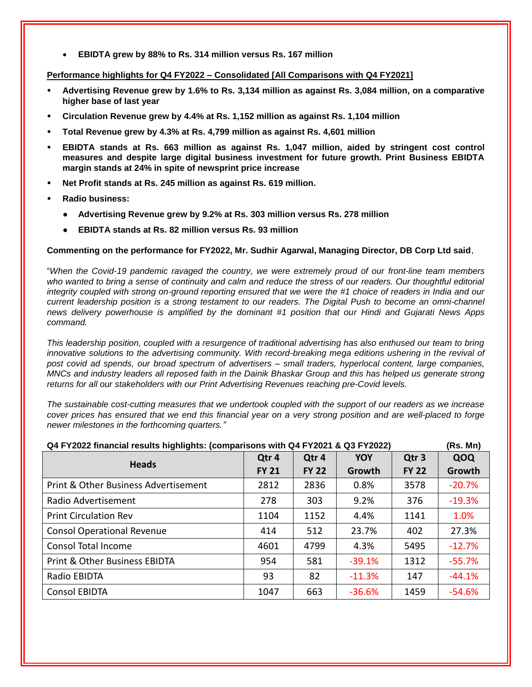**EBIDTA grew by 88% to Rs. 314 million versus Rs. 167 million**

## **Performance highlights for Q4 FY2022 – Consolidated [All Comparisons with Q4 FY2021]**

- **Advertising Revenue grew by 1.6% to Rs. 3,134 million as against Rs. 3,084 million, on a comparative higher base of last year**
- **Circulation Revenue grew by 4.4% at Rs. 1,152 million as against Rs. 1,104 million**
- **Total Revenue grew by 4.3% at Rs. 4,799 million as against Rs. 4,601 million**
- **EBIDTA stands at Rs. 663 million as against Rs. 1,047 million, aided by stringent cost control measures and despite large digital business investment for future growth. Print Business EBIDTA margin stands at 24% in spite of newsprint price increase**
- **Net Profit stands at Rs. 245 million as against Rs. 619 million.**
- **Radio business:**
	- **Advertising Revenue grew by 9.2% at Rs. 303 million versus Rs. 278 million**
	- **EBIDTA stands at Rs. 82 million versus Rs. 93 million**

# **Commenting on the performance for FY2022, Mr. Sudhir Agarwal, Managing Director, DB Corp Ltd said**,

"*When the Covid-19 pandemic ravaged the country, we were extremely proud of our front-line team members*  who wanted to bring a sense of continuity and calm and reduce the stress of our readers. Our thoughtful editorial *integrity coupled with strong on-ground reporting ensured that we were the #1 choice of readers in India and our current leadership position is a strong testament to our readers. The Digital Push to become an omni-channel news delivery powerhouse is amplified by the dominant #1 position that our Hindi and Gujarati News Apps command.* 

*This leadership position, coupled with a resurgence of traditional advertising has also enthused our team to bring*  innovative solutions to the advertising community. With record-breaking mega editions ushering in the revival of *post covid ad spends, our broad spectrum of advertisers – small traders, hyperlocal content, large companies, MNCs and industry leaders all reposed faith in the Dainik Bhaskar Group and this has helped us generate strong returns for all our stakeholders with our Print Advertising Revenues reaching pre-Covid levels.*

*The sustainable cost-cutting measures that we undertook coupled with the support of our readers as we increase cover prices has ensured that we end this financial year on a very strong position and are well-placed to forge newer milestones in the forthcoming quarters."*

| Q4 FY2022 financial results highlights: (comparisons with Q4 FY2021 & Q3 FY2022)<br>(Rs. Mn) |              |              |          |                  |          |  |  |
|----------------------------------------------------------------------------------------------|--------------|--------------|----------|------------------|----------|--|--|
| <b>Heads</b>                                                                                 | Qtr 4        | Qtr 4        | YOY      | Qtr <sub>3</sub> | QOQ      |  |  |
|                                                                                              | <b>FY 21</b> | <b>FY 22</b> | Growth   | <b>FY 22</b>     | Growth   |  |  |
| Print & Other Business Advertisement                                                         | 2812         | 2836         | 0.8%     | 3578             | $-20.7%$ |  |  |
| Radio Advertisement                                                                          | 278          | 303          | 9.2%     | 376              | $-19.3%$ |  |  |
| <b>Print Circulation Rev</b>                                                                 | 1104         | 1152         | 4.4%     | 1141             | 1.0%     |  |  |
| <b>Consol Operational Revenue</b>                                                            | 414          | 512          | 23.7%    | 402              | 27.3%    |  |  |
| <b>Consol Total Income</b>                                                                   | 4601         | 4799         | 4.3%     | 5495             | $-12.7%$ |  |  |
| <b>Print &amp; Other Business EBIDTA</b>                                                     | 954          | 581          | $-39.1%$ | 1312             | $-55.7%$ |  |  |
| Radio EBIDTA                                                                                 | 93           | 82           | $-11.3%$ | 147              | $-44.1%$ |  |  |
| <b>Consol EBIDTA</b>                                                                         | 1047         | 663          | $-36.6%$ | 1459             | $-54.6%$ |  |  |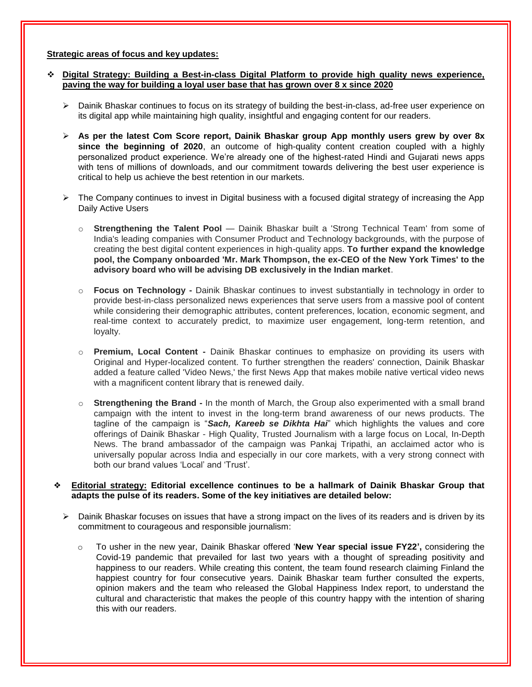#### **Strategic areas of focus and key updates:**

## **Digital Strategy: Building a Best-in-class Digital Platform to provide high quality news experience, paving the way for building a loyal user base that has grown over 8 x since 2020**

- $\triangleright$  Dainik Bhaskar continues to focus on its strategy of building the best-in-class, ad-free user experience on its digital app while maintaining high quality, insightful and engaging content for our readers.
- **As per the latest Com Score report, Dainik Bhaskar group App monthly users grew by over 8x since the beginning of 2020**, an outcome of high-quality content creation coupled with a highly personalized product experience. We're already one of the highest-rated Hindi and Gujarati news apps with tens of millions of downloads, and our commitment towards delivering the best user experience is critical to help us achieve the best retention in our markets.
- $\triangleright$  The Company continues to invest in Digital business with a focused digital strategy of increasing the App Daily Active Users
	- o **Strengthening the Talent Pool** Dainik Bhaskar built a 'Strong Technical Team' from some of India's leading companies with Consumer Product and Technology backgrounds, with the purpose of creating the best digital content experiences in high-quality apps. **To further expand the knowledge pool, the Company onboarded 'Mr. Mark Thompson, the ex-CEO of the New York Times' to the advisory board who will be advising DB exclusively in the Indian market**.
	- o **Focus on Technology -** Dainik Bhaskar continues to invest substantially in technology in order to provide best-in-class personalized news experiences that serve users from a massive pool of content while considering their demographic attributes, content preferences, location, economic segment, and real-time context to accurately predict, to maximize user engagement, long-term retention, and loyalty.
	- o **Premium, Local Content -** Dainik Bhaskar continues to emphasize on providing its users with Original and Hyper-localized content. To further strengthen the readers' connection, Dainik Bhaskar added a feature called 'Video News,' the first News App that makes mobile native vertical video news with a magnificent content library that is renewed daily.
	- o **Strengthening the Brand -** In the month of March, the Group also experimented with a small brand campaign with the intent to invest in the long-term brand awareness of our news products. The tagline of the campaign is "*Sach, Kareeb se Dikhta Hai*" which highlights the values and core offerings of Dainik Bhaskar - High Quality, Trusted Journalism with a large focus on Local, In-Depth News. The brand ambassador of the campaign was Pankaj Tripathi, an acclaimed actor who is universally popular across India and especially in our core markets, with a very strong connect with both our brand values 'Local' and 'Trust'.

#### ❖ **Editorial strategy: Editorial excellence continues to be a hallmark of Dainik Bhaskar Group that adapts the pulse of its readers. Some of the key initiatives are detailed below:**

- $\triangleright$  Dainik Bhaskar focuses on issues that have a strong impact on the lives of its readers and is driven by its commitment to courageous and responsible journalism:
	- o To usher in the new year, Dainik Bhaskar offered '**New Year special issue FY22',** considering the Covid-19 pandemic that prevailed for last two years with a thought of spreading positivity and happiness to our readers. While creating this content, the team found research claiming Finland the happiest country for four consecutive years. Dainik Bhaskar team further consulted the experts, opinion makers and the team who released the Global Happiness Index report, to understand the cultural and characteristic that makes the people of this country happy with the intention of sharing this with our readers.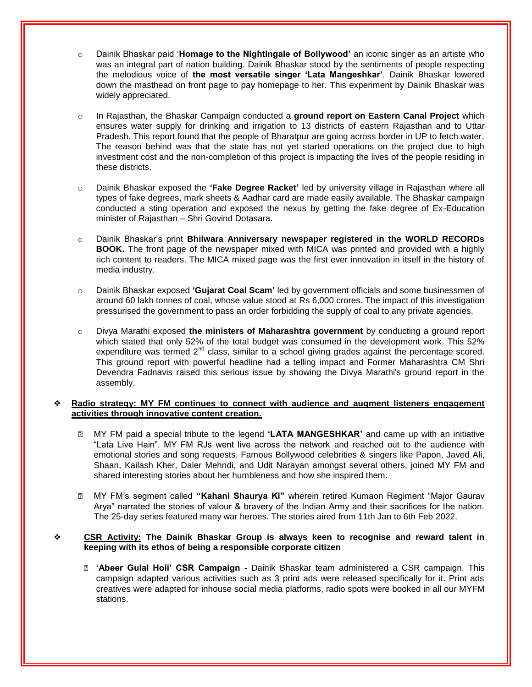- Dainik Bhaskar paid '**Homage to the Nightingale of Bollywood'** an iconic singer as an artiste who was an integral part of nation building. Dainik Bhaskar stood by the sentiments of people respecting the melodious voice of **the most versatile singer 'Lata Mangeshkar'**. Dainik Bhaskar lowered down the masthead on front page to pay homepage to her. This experiment by Dainik Bhaskar was widely appreciated.
- o In Rajasthan, the Bhaskar Campaign conducted a **ground report on Eastern Canal Project** which ensures water supply for drinking and irrigation to 13 districts of eastern Rajasthan and to Uttar Pradesh. This report found that the people of Bharatpur are going across border in UP to fetch water. The reason behind was that the state has not yet started operations on the project due to high investment cost and the non-completion of this project is impacting the lives of the people residing in these districts.
- o Dainik Bhaskar exposed the **'Fake Degree Racket'** led by university village in Rajasthan where all types of fake degrees, mark sheets & Aadhar card are made easily available. The Bhaskar campaign conducted a sting operation and exposed the nexus by getting the fake degree of Ex-Education minister of Rajasthan – Shri Govind Dotasara.
- o Dainik Bhaskar's print **Bhilwara Anniversary newspaper registered in the WORLD RECORDs BOOK.** The front page of the newspaper mixed with MICA was printed and provided with a highly rich content to readers. The MICA mixed page was the first ever innovation in itself in the history of media industry.
- o Dainik Bhaskar exposed **'Gujarat Coal Scam'** led by government officials and some businessmen of around 60 lakh tonnes of coal, whose value stood at Rs 6,000 crores. The impact of this investigation pressurised the government to pass an order forbidding the supply of coal to any private agencies.
- o Divya Marathi exposed **the ministers of Maharashtra government** by conducting a ground report which stated that only 52% of the total budget was consumed in the development work. This 52% expenditure was termed  $2^{nd}$  class, similar to a school giving grades against the percentage scored. This ground report with powerful headline had a telling impact and Former Maharashtra CM Shri Devendra Fadnavis raised this serious issue by showing the Divya Marathi's ground report in the assembly.

### ❖ **Radio strategy: MY FM continues to connect with audience and augment listeners engagement activities through innovative content creation.**

- ⮚ MY FM paid a special tribute to the legend **'LATA MANGESHKAR'** and came up with an initiative "Lata Live Hain". MY FM RJs went live across the network and reached out to the audience with emotional stories and song requests. Famous Bollywood celebrities & singers like Papon, Javed Ali, Shaan, Kailash Kher, Daler Mehndi, and Udit Narayan amongst several others, joined MY FM and shared interesting stories about her humbleness and how she inspired them.
- ⮚ MY FM's segment called **"Kahani Shaurya Ki"** wherein retired Kumaon Regiment "Major Gaurav Arya" narrated the stories of valour & bravery of the Indian Army and their sacrifices for the nation. The 25-day series featured many war heroes. The stories aired from 11th Jan to 6th Feb 2022.

# ❖ **CSR Activity: The Dainik Bhaskar Group is always keen to recognise and reward talent in keeping with its ethos of being a responsible corporate citizen**

⮚ **'Abeer Gulal Holi' CSR Campaign -** Dainik Bhaskar team administered a CSR campaign. This campaign adapted various activities such as 3 print ads were released specifically for it. Print ads creatives were adapted for inhouse social media platforms, radio spots were booked in all our MYFM stations.